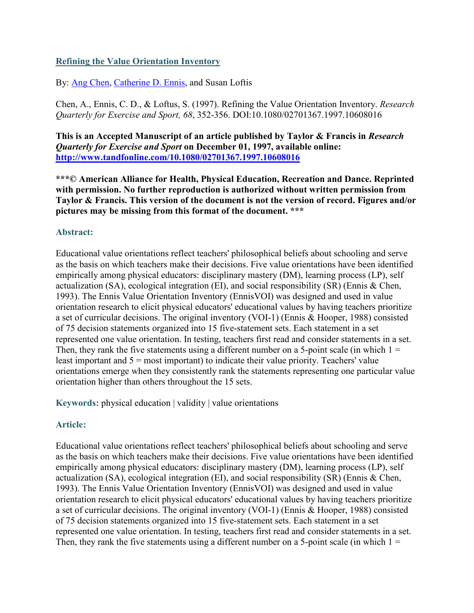## **Refining the Value Orientation Inventory**

By: [Ang Chen,](https://libres.uncg.edu/ir/uncg/clist.aspx?id=3437) [Catherine D. Ennis,](https://libres.uncg.edu/ir/uncg/clist.aspx?id=3436) and Susan Loftis

Chen, A., Ennis, C. D., & Loftus, S. (1997). Refining the Value Orientation Inventory. *Research Quarterly for Exercise and Sport, 68*, 352-356. DOI:10.1080/02701367.1997.10608016

**This is an Accepted Manuscript of an article published by Taylor & Francis in** *Research Quarterly for Exercise and Sport* **on December 01, 1997, available online: <http://www.tandfonline.com/10.1080/02701367.1997.10608016>**

**\*\*\*© American Alliance for Health, Physical Education, Recreation and Dance. Reprinted with permission. No further reproduction is authorized without written permission from Taylor & Francis. This version of the document is not the version of record. Figures and/or pictures may be missing from this format of the document. \*\*\***

### **Abstract:**

Educational value orientations reflect teachers' philosophical beliefs about schooling and serve as the basis on which teachers make their decisions. Five value orientations have been identified empirically among physical educators: disciplinary mastery (DM), learning process (LP), self actualization (SA), ecological integration (EI), and social responsibility (SR) (Ennis & Chen, 1993). The Ennis Value Orientation Inventory (EnnisVOI) was designed and used in value orientation research to elicit physical educators' educational values by having teachers prioritize a set of curricular decisions. The original inventory (VOI-1) (Ennis & Hooper, 1988) consisted of 75 decision statements organized into 15 five-statement sets. Each statement in a set represented one value orientation. In testing, teachers first read and consider statements in a set. Then, they rank the five statements using a different number on a 5-point scale (in which  $1 =$ least important and  $5 =$  most important) to indicate their value priority. Teachers' value orientations emerge when they consistently rank the statements representing one particular value orientation higher than others throughout the 15 sets.

**Keywords:** physical education | validity | value orientations

## **Article:**

Educational value orientations reflect teachers' philosophical beliefs about schooling and serve as the basis on which teachers make their decisions. Five value orientations have been identified empirically among physical educators: disciplinary mastery (DM), learning process (LP), self actualization (SA), ecological integration (EI), and social responsibility (SR) (Ennis & Chen, 1993). The Ennis Value Orientation Inventory (EnnisVOI) was designed and used in value orientation research to elicit physical educators' educational values by having teachers prioritize a set of curricular decisions. The original inventory (VOI-1) (Ennis & Hooper, 1988) consisted of 75 decision statements organized into 15 five-statement sets. Each statement in a set represented one value orientation. In testing, teachers first read and consider statements in a set. Then, they rank the five statements using a different number on a 5-point scale (in which  $1 =$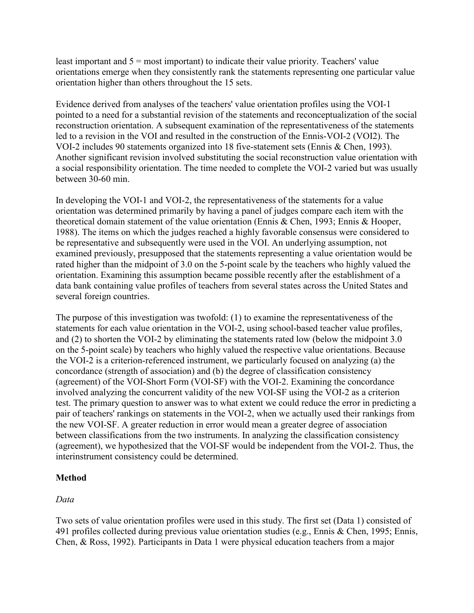least important and  $5 =$  most important) to indicate their value priority. Teachers' value orientations emerge when they consistently rank the statements representing one particular value orientation higher than others throughout the 15 sets.

Evidence derived from analyses of the teachers' value orientation profiles using the VOI-1 pointed to a need for a substantial revision of the statements and reconceptualization of the social reconstruction orientation. A subsequent examination of the representativeness of the statements led to a revision in the VOI and resulted in the construction of the Ennis-VOI-2 (VOI2). The VOI-2 includes 90 statements organized into 18 five-statement sets (Ennis & Chen, 1993). Another significant revision involved substituting the social reconstruction value orientation with a social responsibility orientation. The time needed to complete the VOI-2 varied but was usually between 30-60 min.

In developing the VOI-1 and VOI-2, the representativeness of the statements for a value orientation was determined primarily by having a panel of judges compare each item with the theoretical domain statement of the value orientation (Ennis & Chen, 1993; Ennis & Hooper, 1988). The items on which the judges reached a highly favorable consensus were considered to be representative and subsequently were used in the VOI. An underlying assumption, not examined previously, presupposed that the statements representing a value orientation would be rated higher than the midpoint of 3.0 on the 5-point scale by the teachers who highly valued the orientation. Examining this assumption became possible recently after the establishment of a data bank containing value profiles of teachers from several states across the United States and several foreign countries.

The purpose of this investigation was twofold: (1) to examine the representativeness of the statements for each value orientation in the VOI-2, using school-based teacher value profiles, and (2) to shorten the VOI-2 by eliminating the statements rated low (below the midpoint 3.0 on the 5-point scale) by teachers who highly valued the respective value orientations. Because the VOI-2 is a criterion-referenced instrument, we particularly focused on analyzing (a) the concordance (strength of association) and (b) the degree of classification consistency (agreement) of the VOI-Short Form (VOI-SF) with the VOI-2. Examining the concordance involved analyzing the concurrent validity of the new VOI-SF using the VOI-2 as a criterion test. The primary question to answer was to what extent we could reduce the error in predicting a pair of teachers' rankings on statements in the VOI-2, when we actually used their rankings from the new VOI-SF. A greater reduction in error would mean a greater degree of association between classifications from the two instruments. In analyzing the classification consistency (agreement), we hypothesized that the VOI-SF would be independent from the VOI-2. Thus, the interinstrument consistency could be determined.

## **Method**

## *Data*

Two sets of value orientation profiles were used in this study. The first set (Data 1) consisted of 491 profiles collected during previous value orientation studies (e.g., Ennis & Chen, 1995; Ennis, Chen, & Ross, 1992). Participants in Data 1 were physical education teachers from a major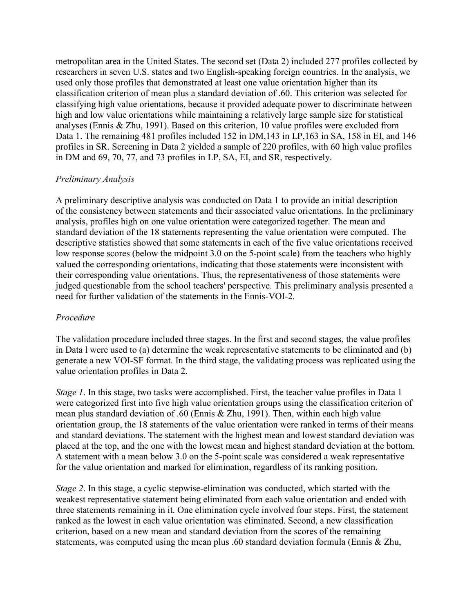metropolitan area in the United States. The second set (Data 2) included 277 profiles collected by researchers in seven U.S. states and two English-speaking foreign countries. In the analysis, we used only those profiles that demonstrated at least one value orientation higher than its classification criterion of mean plus a standard deviation of .60. This criterion was selected for classifying high value orientations, because it provided adequate power to discriminate between high and low value orientations while maintaining a relatively large sample size for statistical analyses (Ennis & Zhu, 1991). Based on this criterion, 10 value profiles were excluded from Data 1. The remaining 481 profiles included 152 in DM,143 in LP,163 in SA, 158 in EI, and 146 profiles in SR. Screening in Data 2 yielded a sample of 220 profiles, with 60 high value profiles in DM and 69, 70, 77, and 73 profiles in LP, SA, EI, and SR, respectively.

## *Preliminary Analysis*

A preliminary descriptive analysis was conducted on Data 1 to provide an initial description of the consistency between statements and their associated value orientations. In the preliminary analysis, profiles high on one value orientation were categorized together. The mean and standard deviation of the 18 statements representing the value orientation were computed. The descriptive statistics showed that some statements in each of the five value orientations received low response scores (below the midpoint 3.0 on the 5-point scale) from the teachers who highly valued the corresponding orientations, indicating that those statements were inconsistent with their corresponding value orientations. Thus, the representativeness of those statements were judged questionable from the school teachers' perspective. This preliminary analysis presented a need for further validation of the statements in the Ennis-VOI-2.

### *Procedure*

The validation procedure included three stages. In the first and second stages, the value profiles in Data l were used to (a) determine the weak representative statements to be eliminated and (b) generate a new VOI-SF format. In the third stage, the validating process was replicated using the value orientation profiles in Data 2.

*Stage 1*. In this stage, two tasks were accomplished. First, the teacher value profiles in Data 1 were categorized first into five high value orientation groups using the classification criterion of mean plus standard deviation of .60 (Ennis & Zhu, 1991). Then, within each high value orientation group, the 18 statements of the value orientation were ranked in terms of their means and standard deviations. The statement with the highest mean and lowest standard deviation was placed at the top, and the one with the lowest mean and highest standard deviation at the bottom. A statement with a mean below 3.0 on the 5-point scale was considered a weak representative for the value orientation and marked for elimination, regardless of its ranking position.

*Stage 2*. In this stage, a cyclic stepwise-elimination was conducted, which started with the weakest representative statement being eliminated from each value orientation and ended with three statements remaining in it. One elimination cycle involved four steps. First, the statement ranked as the lowest in each value orientation was eliminated. Second, a new classification criterion, based on a new mean and standard deviation from the scores of the remaining statements, was computed using the mean plus .60 standard deviation formula (Ennis & Zhu,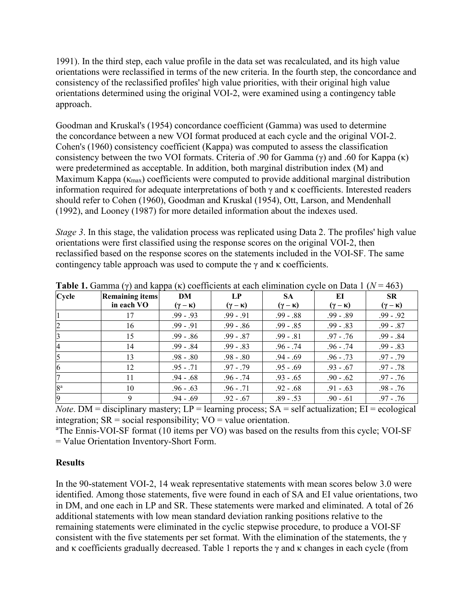1991). In the third step, each value profile in the data set was recalculated, and its high value orientations were reclassified in terms of the new criteria. In the fourth step, the concordance and consistency of the reclassified profiles' high value priorities, with their original high value orientations determined using the original VOI-2, were examined using a contingency table approach.

Goodman and Kruskal's (1954) concordance coefficient (Gamma) was used to determine the concordance between a new VOI format produced at each cycle and the original VOI-2. Cohen's (1960) consistency coefficient (Kappa) was computed to assess the classification consistency between the two VOI formats. Criteria of .90 for Gamma (γ) and .60 for Kappa (κ) were predetermined as acceptable. In addition, both marginal distribution index (M) and Maximum Kappa ( $\kappa_{\text{max}}$ ) coefficients were computed to provide additional marginal distribution information required for adequate interpretations of both  $\gamma$  and  $\kappa$  coefficients. Interested readers should refer to Cohen (1960), Goodman and Kruskal (1954), Ott, Larson, and Mendenhall (1992), and Looney (1987) for more detailed information about the indexes used.

*Stage 3*. In this stage, the validation process was replicated using Data 2. The profiles' high value orientations were first classified using the response scores on the original VOI-2, then reclassified based on the response scores on the statements included in the VOI-SF. The same contingency table approach was used to compute the  $\gamma$  and  $\kappa$  coefficients.

| Cycle          | <b>Remaining items</b> | DM                  | $L_{\rm P}$         | <b>SA</b>           | EI                  | <b>SR</b>           |
|----------------|------------------------|---------------------|---------------------|---------------------|---------------------|---------------------|
|                | in each VO             | $(\gamma - \kappa)$ | $(\gamma - \kappa)$ | $(\gamma - \kappa)$ | $(\gamma - \kappa)$ | $(\gamma - \kappa)$ |
|                | 17                     | $.99 - .93$         | $.99 - .91$         | $.99-.88$           | $.99-.89$           | $.99 - .92$         |
| 2              | 16                     | $.99 - .91$         | $.99-.86$           | $.99 - .85$         | $.99 - .83$         | $.99 - .87$         |
|                | 15                     | $.99-.86$           | $.99 - .87$         | $.99 - .81$         | $.97 - .76$         | $.99 - .84$         |
|                | 14                     | $.99 - .84$         | $.99 - .83$         | $.96 - .74$         | $.96 - .74$         | $.99 - .83$         |
|                | 13                     | $.98-.80$           | $.98-.80$           | $.94-.69$           | $.96 - .73$         | $.97 - .79$         |
| O              | 12                     | $.95 - .71$         | $.97 - .79$         | $.95-.69$           | $.93 - .67$         | $.97-.78$           |
|                | 11                     | $.94 - .68$         | $.96 - .74$         | $.93 - .65$         | $.90-.62$           | $.97-.76$           |
| 8 <sup>a</sup> | 10                     | $.96 - .63$         | $.96 - .71$         | $.92-.68$           | $.91-.63$           | $.98 - .76$         |
| 9              |                        | $.94 - .69$         | $.92-.67$           | $.89 - .53$         | $.90-.61$           | $.97 - .76$         |

**Table 1.** Gamma (γ) and kappa (κ) coefficients at each elimination cycle on Data 1 (*N* = 463)

*Note*. DM = disciplinary mastery;  $LP =$  learning process;  $SA =$  self actualization;  $EI =$  ecological integration;  $SR = social$  responsibility;  $VO = value$  orientation.

<sup>a</sup>The Ennis-VOI-SF format (10 items per VO) was based on the results from this cycle; VOI-SF = Value Orientation Inventory-Short Form.

### **Results**

In the 90-statement VOI-2, 14 weak representative statements with mean scores below 3.0 were identified. Among those statements, five were found in each of SA and EI value orientations, two in DM, and one each in LP and SR. These statements were marked and eliminated. A total of 26 additional statements with low mean standard deviation ranking positions relative to the remaining statements were eliminated in the cyclic stepwise procedure, to produce a VOI-SF consistent with the five statements per set format. With the elimination of the statements, the  $\gamma$ and κ coefficients gradually decreased. Table 1 reports the  $\gamma$  and κ changes in each cycle (from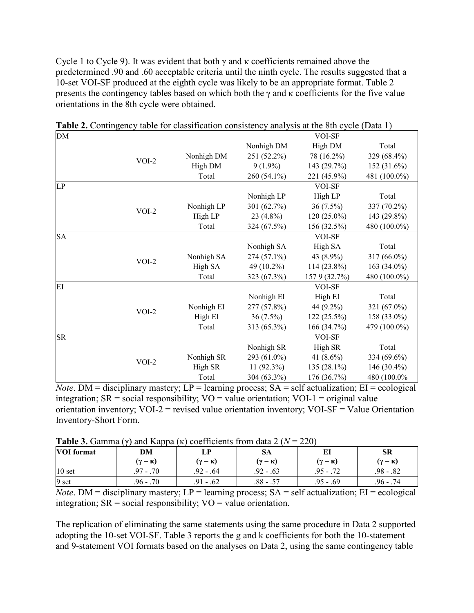Cycle 1 to Cycle 9). It was evident that both  $\gamma$  and  $\kappa$  coefficients remained above the predetermined .90 and .60 acceptable criteria until the ninth cycle. The results suggested that a 10-set VOI-SF produced at the eighth cycle was likely to be an appropriate format. Table 2 presents the contingency tables based on which both the  $\gamma$  and  $\kappa$  coefficients for the five value orientations in the 8th cycle were obtained.

| DM        |         |            |              | $\frac{1}{2}$<br>VOI-SF |              |
|-----------|---------|------------|--------------|-------------------------|--------------|
|           |         |            | Nonhigh DM   | High DM                 | Total        |
|           |         | Nonhigh DM | 251 (52.2%)  | 78 (16.2%)              | 329 (68.4%)  |
|           | $VOI-2$ | High DM    | $9(1.9\%)$   | 143 (29.7%)             | 152 (31.6%)  |
|           |         | Total      | 260 (54.1%)  | 221 (45.9%)             | 481 (100.0%) |
| LP        |         |            |              | VOI-SF                  |              |
|           |         |            | Nonhigh LP   | High LP                 | Total        |
|           |         | Nonhigh LP | 301 (62.7%)  | 36 (7.5%)               | 337 (70.2%)  |
|           | $VOI-2$ | High LP    | $23(4.8\%)$  | $120(25.0\%)$           | 143 (29.8%)  |
|           |         | Total      | 324 (67.5%)  | 156 (32.5%)             | 480 (100.0%) |
| <b>SA</b> |         |            |              | VOI-SF                  |              |
|           |         |            | Nonhigh SA   | High SA                 | Total        |
|           | $VOI-2$ | Nonhigh SA | 274 (57.1%)  | 43 (8.9%)               | 317 (66.0%)  |
|           |         | High SA    | 49 (10.2%)   | 114 (23.8%)             | 163 (34.0%)  |
|           |         | Total      | 323 (67.3%)  | 157 9 (32.7%)           | 480 (100.0%) |
| EI        |         |            |              | VOI-SF                  |              |
|           |         |            | Nonhigh EI   | High EI                 | Total        |
|           | $VOI-2$ | Nonhigh EI | 277 (57.8%)  | 44 (9.2%)               | 321 (67.0%)  |
|           |         | High EI    | $36(7.5\%)$  | 122(25.5%)              | 158 (33.0%)  |
|           |         | Total      | 313 (65.3%)  | 166 (34.7%)             | 479 (100.0%) |
| SR        |         |            |              | VOI-SF                  |              |
|           |         |            | Nonhigh SR   | High SR                 | Total        |
|           | $VOI-2$ | Nonhigh SR | 293 (61.0%)  | 41 (8.6%)               | 334 (69.6%)  |
|           |         | High SR    | $11(92.3\%)$ | 135 (28.1%)             | 146 (30.4%)  |
|           |         | Total      | 304 (63.3%)  | 176 (36.7%)             | 480 (100.0%  |

**Table 2.** Contingency table for classification consistency analysis at the 8th cycle (Data 1)

*Note*. DM = disciplinary mastery;  $LP =$  learning process;  $SA =$  self actualization;  $EI =$  ecological integration;  $SR = social$  responsibility;  $VO = value$  orientation;  $VOI-1 = original$  value orientation inventory;  $VOI-2$  = revised value orientation inventory;  $VOI-SF = Value$  Orientation Inventory-Short Form.

| <b>Table 3.</b> Gamma ( $\gamma$ ) and Kappa ( $\kappa$ ) coefficients from data 2 ( $N = 220$ ) |  |  |
|--------------------------------------------------------------------------------------------------|--|--|
|--------------------------------------------------------------------------------------------------|--|--|

| <b>VOI</b> format | DM           |                 | SA                  | EI          | SR                  |
|-------------------|--------------|-----------------|---------------------|-------------|---------------------|
|                   | (γ — κ)      | (y — K)         | $(\gamma - \kappa)$ | (у — к)     | $(\gamma - \kappa)$ |
| 10 <sub>set</sub> | 70 - 7<br>97 | .92 - .64       | $.92-.63$           | .95 - .72   | $.98-.82$           |
| 9 set             | $.96 - .70$  | $Q_1$<br>$-.62$ | $.88 - .57$         | $.95 - .69$ | .96 - .74           |

*Note*. DM = disciplinary mastery;  $LP =$  learning process;  $SA =$  self actualization;  $EI =$  ecological integration;  $SR = social$  responsibility;  $VO = value$  orientation.

The replication of eliminating the same statements using the same procedure in Data 2 supported adopting the 10-set VOI-SF. Table 3 reports the g and k coefficients for both the 10-statement and 9-statement VOI formats based on the analyses on Data 2, using the same contingency table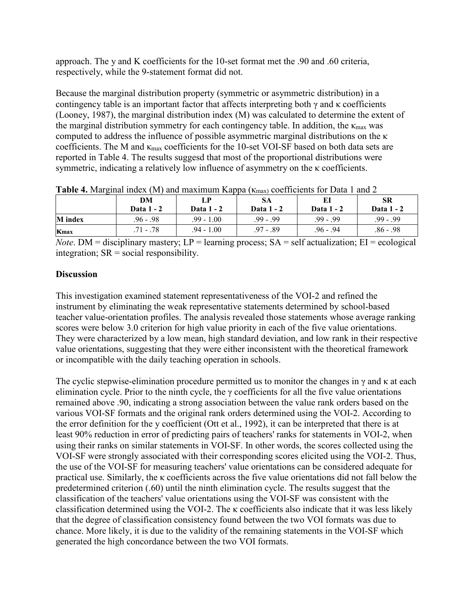approach. The y and K coefficients for the 10-set format met the .90 and .60 criteria, respectively, while the 9-statement format did not.

Because the marginal distribution property (symmetric or asymmetric distribution) in a contingency table is an important factor that affects interpreting both  $\gamma$  and  $\kappa$  coefficients (Looney, 1987), the marginal distribution index (M) was calculated to determine the extent of the marginal distribution symmetry for each contingency table. In addition, the  $\kappa_{\text{max}}$  was computed to address the influence of possible asymmetric marginal distributions on the κ coefficients. The M and  $\kappa_{\text{max}}$  coefficients for the 10-set VOI-SF based on both data sets are reported in Table 4. The results suggesd that most of the proportional distributions were symmetric, indicating a relatively low influence of asymmetry on the κ coefficients.

|                  | DM<br><b>Data 1 - 2</b> | <b>Data 1 - 2</b> | $\cdots$<br>SА<br><b>Data 1 - 2</b> | Data 1 - 2  | SR<br>Data 1 - 2 |
|------------------|-------------------------|-------------------|-------------------------------------|-------------|------------------|
| <b>M</b> index   | .96 - .98               | $.99 - 1.00$      | .99 - .99                           | $.99 - .99$ | $.99 - .99$      |
| $K_{\text{max}}$ | $.71-.78$               | .94 - 1.00        | .97 - .89                           | $.96 - .94$ | .86 - .98        |

**Table 4.** Marginal index (M) and maximum Kappa  $(\kappa_{\text{max}})$  coefficients for Data 1 and 2

*Note*. DM = disciplinary mastery;  $LP =$  learning process;  $SA =$  self actualization;  $EI =$  ecological integration;  $SR = social$  responsibility.

# **Discussion**

This investigation examined statement representativeness of the VOI-2 and refined the instrument by eliminating the weak representative statements determined by school-based teacher value-orientation profiles. The analysis revealed those statements whose average ranking scores were below 3.0 criterion for high value priority in each of the five value orientations. They were characterized by a low mean, high standard deviation, and low rank in their respective value orientations, suggesting that they were either inconsistent with the theoretical framework or incompatible with the daily teaching operation in schools.

The cyclic stepwise-elimination procedure permitted us to monitor the changes in  $\gamma$  and  $\kappa$  at each elimination cycle. Prior to the ninth cycle, the  $\gamma$  coefficients for all the five value orientations remained above .90, indicating a strong association between the value rank orders based on the various VOI-SF formats and the original rank orders determined using the VOI-2. According to the error definition for the y coefficient (Ott et al., 1992), it can be interpreted that there is at least 90% reduction in error of predicting pairs of teachers' ranks for statements in VOI-2, when using their ranks on similar statements in VOI-SF. In other words, the scores collected using the VOI-SF were strongly associated with their corresponding scores elicited using the VOI-2. Thus, the use of the VOI-SF for measuring teachers' value orientations can be considered adequate for practical use. Similarly, the κ coefficients across the five value orientations did not fall below the predetermined criterion (.60) until the ninth elimination cycle. The results suggest that the classification of the teachers' value orientations using the VOI-SF was consistent with the classification determined using the VOI-2. The  $\kappa$  coefficients also indicate that it was less likely that the degree of classification consistency found between the two VOI formats was due to chance. More likely, it is due to the validity of the remaining statements in the VOI-SF which generated the high concordance between the two VOI formats.